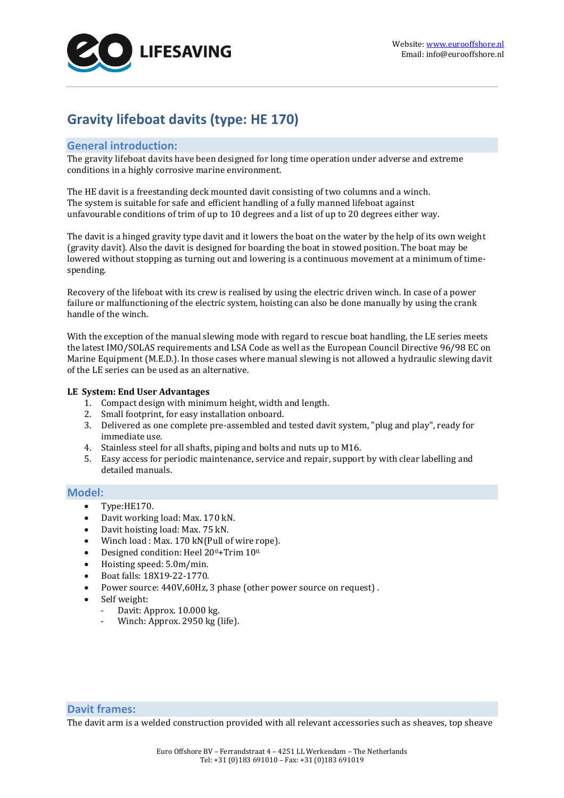

# **Gravity lifeboat davits (type: HE 170)**

# **General introduction:**

The gravity lifeboat davits have been designed for long time operation under adverse and extreme conditions in a highly corrosive marine environment.

The HE davit is a freestanding deck mounted davit consisting of two columns and a winch. The system is suitable for safe and efficient handling of a fully manned lifeboat against unfavourable conditions of trim of up to 10 degrees and a list of up to 20 degrees either way.

The davit is a hinged gravity type davit and it lowers the boat on the water by the help of its own weight (gravity davit). Also the davit is designed for boarding the boat in stowed position. The boat may be lowered without stopping as turning out and lowering is a continuous movement at a minimum of timespending.

Recovery of the lifeboat with its crew is realised by using the electric driven winch. In case of a power failure or malfunctioning of the electric system, hoisting can also be done manually by using the crank handle of the winch.

With the exception of the manual slewing mode with regard to rescue boat handling, the LE series meets the latest IMO/SOLAS requirements and LSA Code as well as the European Council Directive 96/98 EC on Marine Equipment (M.E.D.). In those cases where manual slewing is not allowed a hydraulic slewing davit of the LE series can be used as an alternative.

## **LE System: End User Advantages**

- 1. Compact design with minimum height, width and length.
- 2. Small footprint, for easy installation onboard.
- 3. Delivered as one complete pre-assembled and tested davit system, "plug and play", ready for immediate use.
- 4. Stainless steel for all shafts, piping and bolts and nuts up to M16.
- 5. Easy access for periodic maintenance, service and repair, support by with clear labelling and detailed manuals.

# **Model:**

- Type:HE170.
- Davit working load: Max. 170 kN.
- Davit hoisting load: Max. 75 kN.
- Winch load : Max. 170 kN(Pull of wire rope).
- Designed condition: Heel 20<sup>0</sup>+Trim 10<sup>0.</sup>
- Hoisting speed: 5.0m/min.
- Boat falls: 18X19-22-1770.
- Power source: 440V,60Hz, 3 phase (other power source on request) .
- Self weight:
	- Davit: Approx. 10.000 kg.
	- Winch: Approx. 2950 kg (life).

# **Davit frames:**

The davit arm is a welded construction provided with all relevant accessories such as sheaves, top sheave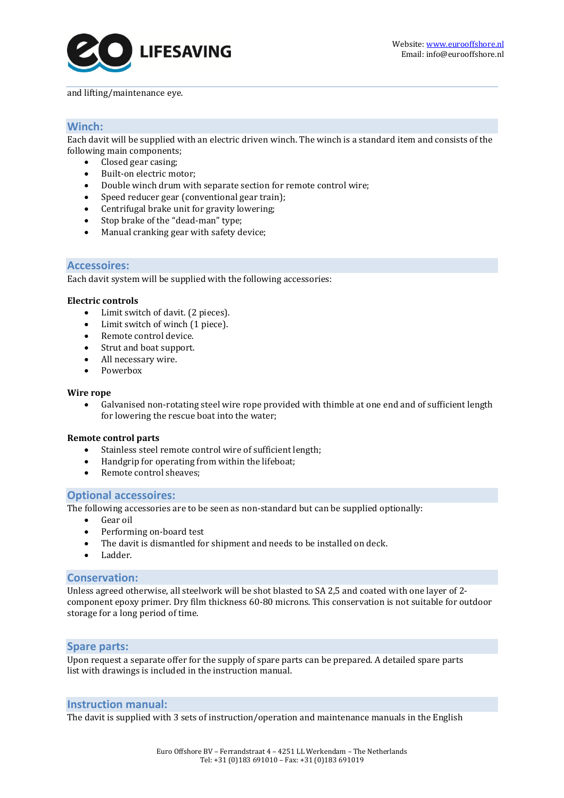

#### and lifting/maintenance eye.

# **Winch:**

Each davit will be supplied with an electric driven winch. The winch is a standard item and consists of the following main components;

- Closed gear casing:
- Built-on electric motor;
- Double winch drum with separate section for remote control wire;
- Speed reducer gear (conventional gear train);
- Centrifugal brake unit for gravity lowering;
- Stop brake of the "dead-man" type;
- Manual cranking gear with safety device;

## **Accessoires:**

Each davit system will be supplied with the following accessories:

#### **Electric controls**

- Limit switch of davit. (2 pieces).
- Limit switch of winch (1 piece).
- Remote control device.
- Strut and boat support.
- All necessary wire.
- Powerbox

#### **Wire rope**

 Galvanised non-rotating steel wire rope provided with thimble at one end and of sufficient length for lowering the rescue boat into the water;

## **Remote control parts**

- Stainless steel remote control wire of sufficient length;
- Handgrip for operating from within the lifeboat;
- Remote control sheaves:

## **Optional accessoires:**

The following accessories are to be seen as non-standard but can be supplied optionally:

- Gear oil
- Performing on-board test
- The davit is dismantled for shipment and needs to be installed on deck.
- Ladder.

## **Conservation:**

Unless agreed otherwise, all steelwork will be shot blasted to SA 2,5 and coated with one layer of 2 component epoxy primer. Dry film thickness 60-80 microns. This conservation is not suitable for outdoor storage for a long period of time.

## **Spare parts:**

Upon request a separate offer for the supply of spare parts can be prepared. A detailed spare parts list with drawings is included in the instruction manual.

## **Instruction manual:**

The davit is supplied with 3 sets of instruction/operation and maintenance manuals in the English